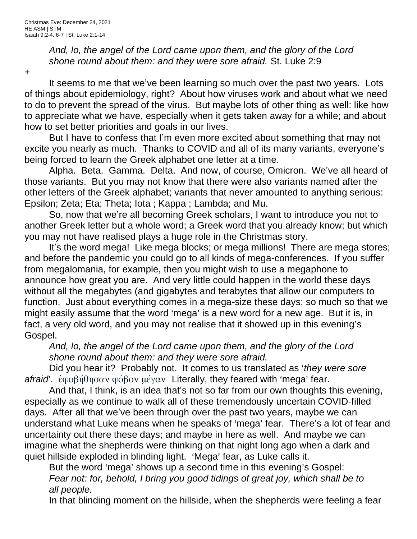*And, lo, the angel of the Lord came upon them, and the glory of the Lord shone round about them: and they were sore afraid.* St. Luke 2:9

+

It seems to me that we've been learning so much over the past two years. Lots of things about epidemiology, right? About how viruses work and about what we need to do to prevent the spread of the virus. But maybe lots of other thing as well: like how to appreciate what we have, especially when it gets taken away for a while; and about how to set better priorities and goals in our lives.

But I have to confess that I'm even more excited about something that may not excite you nearly as much. Thanks to COVID and all of its many variants, everyone's being forced to learn the Greek alphabet one letter at a time.

Alpha. Beta. Gamma. Delta. And now, of course, Omicron. We've all heard of those variants. But you may not know that there were also variants named after the other letters of the Greek alphabet; variants that never amounted to anything serious: Epsilon; Zeta; Eta; Theta; Iota ; Kappa ; Lambda; and Mu.

So, now that we're all becoming Greek scholars, I want to introduce you not to another Greek letter but a whole word; a Greek word that you already know; but which you may not have realised plays a huge role in the Christmas story.

It's the word mega! Like mega blocks; or mega millions! There are mega stores; and before the pandemic you could go to all kinds of mega-conferences. If you suffer from megalomania, for example, then you might wish to use a megaphone to announce how great you are. And very little could happen in the world these days without all the megabytes (and gigabytes and terabytes that allow our computers to function. Just about everything comes in a mega-size these days; so much so that we might easily assume that the word 'mega' is a new word for a new age. But it is, in fact, a very old word, and you may not realise that it showed up in this evening's Gospel.

*And, lo, the angel of the Lord came upon them, and the glory of the Lord shone round about them: and they were sore afraid.*

Did you hear it? Probably not. It comes to us translated as 'they were sore afraid<sup>o</sup>: ἐφοβήθησαν φόβον μέγαν Literally, they feared with 'mega' fear.

And that, I think, is an idea that's not so far from our own thoughts this evening, especially as we continue to walk all of these tremendously uncertain COVID-filled days. After all that we've been through over the past two years, maybe we can understand what Luke means when he speaks of 'mega' fear. There's a lot of fear and uncertainty out there these days; and maybe in here as well. And maybe we can imagine what the shepherds were thinking on that night long ago when a dark and quiet hillside exploded in blinding light. 'Mega' fear, as Luke calls it.

But the word 'mega' shows up a second time in this evening's Gospel: *Fear not: for, behold, I bring you good tidings of great joy, which shall be to all people.*

In that blinding moment on the hillside, when the shepherds were feeling a fear